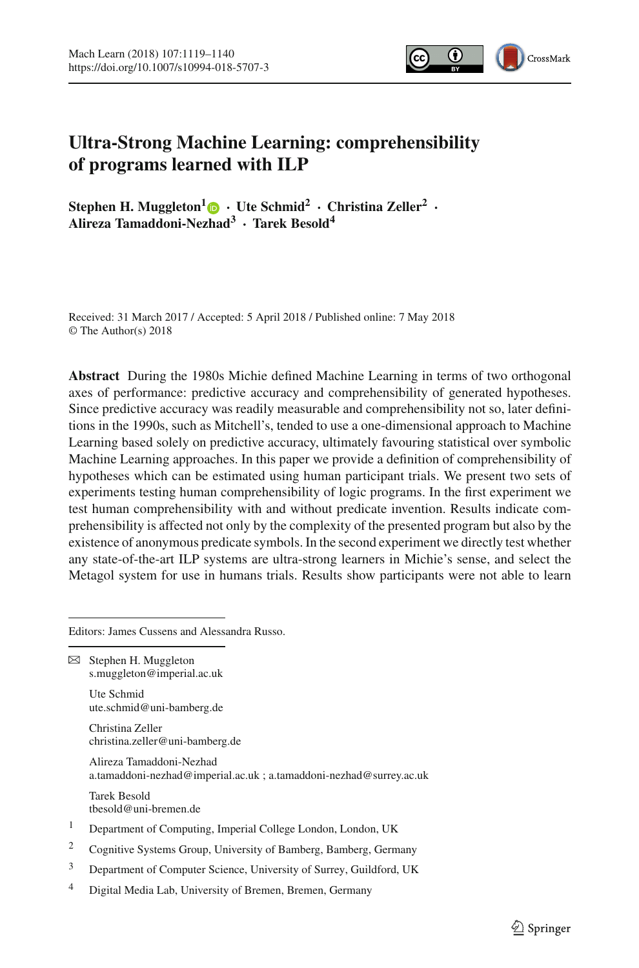

# **Ultra-Strong Machine Learning: comprehensibility of programs learned with ILP**

**Stephen H. Muggleton**<sup>[1](http://orcid.org/0000-0001-6061-6104)</sup>  $\bullet$  **·** Ute Schmid<sup>2</sup> **·** Christina Zeller<sup>2</sup> **· Alireza Tamaddoni-Nezhad<sup>3</sup> · Tarek Besold<sup>4</sup>**

Received: 31 March 2017 / Accepted: 5 April 2018 / Published online: 7 May 2018 © The Author(s) 2018

**Abstract** During the 1980s Michie defined Machine Learning in terms of two orthogonal axes of performance: predictive accuracy and comprehensibility of generated hypotheses. Since predictive accuracy was readily measurable and comprehensibility not so, later definitions in the 1990s, such as Mitchell's, tended to use a one-dimensional approach to Machine Learning based solely on predictive accuracy, ultimately favouring statistical over symbolic Machine Learning approaches. In this paper we provide a definition of comprehensibility of hypotheses which can be estimated using human participant trials. We present two sets of experiments testing human comprehensibility of logic programs. In the first experiment we test human comprehensibility with and without predicate invention. Results indicate comprehensibility is affected not only by the complexity of the presented program but also by the existence of anonymous predicate symbols. In the second experiment we directly test whether any state-of-the-art ILP systems are ultra-strong learners in Michie's sense, and select the Metagol system for use in humans trials. Results show participants were not able to learn

Editors: James Cussens and Alessandra Russo.

 $\boxtimes$  Stephen H. Muggleton s.muggleton@imperial.ac.uk

> Ute Schmid ute.schmid@uni-bamberg.de

Christina Zeller christina.zeller@uni-bamberg.de

Alireza Tamaddoni-Nezhad a.tamaddoni-nezhad@imperial.ac.uk ; a.tamaddoni-nezhad@surrey.ac.uk

Tarek Besold tbesold@uni-bremen.de

- <sup>1</sup> Department of Computing, Imperial College London, London, UK
- <sup>2</sup> Cognitive Systems Group, University of Bamberg, Bamberg, Germany
- <sup>3</sup> Department of Computer Science, University of Surrey, Guildford, UK
- <sup>4</sup> Digital Media Lab, University of Bremen, Bremen, Germany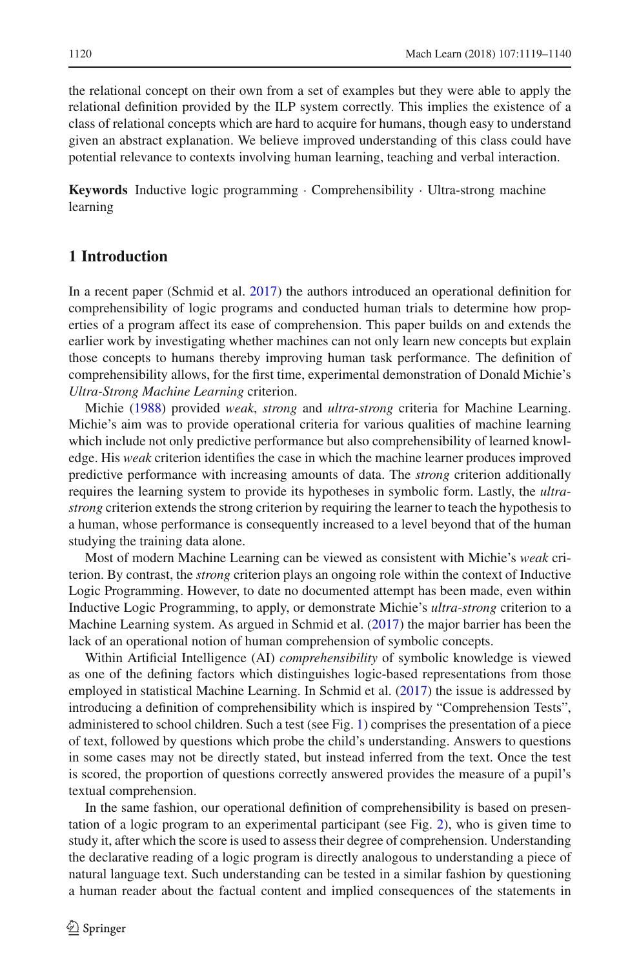the relational concept on their own from a set of examples but they were able to apply the relational definition provided by the ILP system correctly. This implies the existence of a class of relational concepts which are hard to acquire for humans, though easy to understand given an abstract explanation. We believe improved understanding of this class could have potential relevance to contexts involving human learning, teaching and verbal interaction.

**Keywords** Inductive logic programming · Comprehensibility · Ultra-strong machine learning

#### **1 Introduction**

In a recent paper (Schmid et al[.](#page-21-0) [2017\)](#page-21-0) the authors introduced an operational definition for comprehensibility of logic programs and conducted human trials to determine how properties of a program affect its ease of comprehension. This paper builds on and extends the earlier work by investigating whether machines can not only learn new concepts but explain those concepts to humans thereby improving human task performance. The definition of comprehensibility allows, for the first time, experimental demonstration of Donald Michie's *Ultra-Strong Machine Learning* criterion.

Michi[e](#page-21-1) [\(1988](#page-21-1)) provided *weak*, *strong* and *ultra-strong* criteria for Machine Learning. Michie's aim was to provide operational criteria for various qualities of machine learning which include not only predictive performance but also comprehensibility of learned knowledge. His *weak* criterion identifies the case in which the machine learner produces improved predictive performance with increasing amounts of data. The *strong* criterion additionally requires the learning system to provide its hypotheses in symbolic form. Lastly, the *ultrastrong* criterion extends the strong criterion by requiring the learner to teach the hypothesis to a human, whose performance is consequently increased to a level beyond that of the human studying the training data alone.

Most of modern Machine Learning can be viewed as consistent with Michie's *weak* criterion. By contrast, the *strong* criterion plays an ongoing role within the context of Inductive Logic Programming. However, to date no documented attempt has been made, even within Inductive Logic Programming, to apply, or demonstrate Michie's *ultra-strong* criterion to a Machine Learning system. As argued in Schmid et al[.](#page-21-0) [\(2017\)](#page-21-0) the major barrier has been the lack of an operational notion of human comprehension of symbolic concepts.

Within Artificial Intelligence (AI) *comprehensibility* of symbolic knowledge is viewed as one of the defining factors which distinguishes logic-based representations from those employed in statistical Machine Learning[.](#page-21-0) In Schmid et al. [\(2017](#page-21-0)) the issue is addressed by introducing a definition of comprehensibility which is inspired by "Comprehension Tests", administered to school children. Such a test (see Fig. [1\)](#page-2-0) comprises the presentation of a piece of text, followed by questions which probe the child's understanding. Answers to questions in some cases may not be directly stated, but instead inferred from the text. Once the test is scored, the proportion of questions correctly answered provides the measure of a pupil's textual comprehension.

In the same fashion, our operational definition of comprehensibility is based on presentation of a logic program to an experimental participant (see Fig. [2\)](#page-2-1), who is given time to study it, after which the score is used to assess their degree of comprehension. Understanding the declarative reading of a logic program is directly analogous to understanding a piece of natural language text. Such understanding can be tested in a similar fashion by questioning a human reader about the factual content and implied consequences of the statements in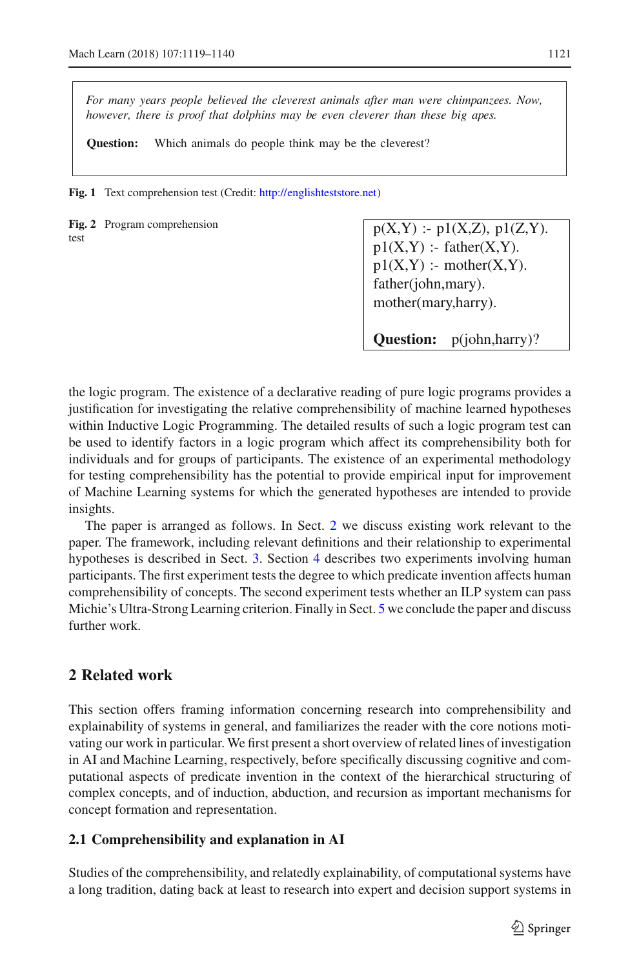For many years people believed the cleverest animals after man were chimpanzees. Now, however, there is proof that dolphins may be even cleverer than these big apes.

**Question:** Which animals do people think may be the cleverest?

<span id="page-2-0"></span>**Fig. 1** Text comprehension test (Credit: [http://englishteststore.net\)](http://englishteststore.net)

<span id="page-2-1"></span>**Fig. 2** Program comprehension

 $p(X,Y)$  :-  $p1(X,Z)$ ,  $p1(Z,Y)$ .  $p1(X,Y)$  :- father $(X,Y)$ .  $p1(X,Y)$  :- mother $(X,Y)$ . father(john,mary). mother(mary,harry).

**Duestion:** p(john,harry)?

the logic program. The existence of a declarative reading of pure logic programs provides a justification for investigating the relative comprehensibility of machine learned hypotheses within Inductive Logic Programming. The detailed results of such a logic program test can be used to identify factors in a logic program which affect its comprehensibility both for individuals and for groups of participants. The existence of an experimental methodology for testing comprehensibility has the potential to provide empirical input for improvement of Machine Learning systems for which the generated hypotheses are intended to provide insights.

The paper is arranged as follows. In Sect. [2](#page-2-2) we discuss existing work relevant to the paper. The framework, including relevant definitions and their relationship to experimental hypotheses is described in Sect. [3.](#page-6-0) Section [4](#page-8-0) describes two experiments involving human participants. The first experiment tests the degree to which predicate invention affects human comprehensibility of concepts. The second experiment tests whether an ILP system can pass Michie's Ultra-Strong Learning criterion. Finally in Sect. [5](#page-19-0) we conclude the paper and discuss further work.

# <span id="page-2-2"></span>**2 Related work**

This section offers framing information concerning research into comprehensibility and explainability of systems in general, and familiarizes the reader with the core notions motivating our work in particular. We first present a short overview of related lines of investigation in AI and Machine Learning, respectively, before specifically discussing cognitive and computational aspects of predicate invention in the context of the hierarchical structuring of complex concepts, and of induction, abduction, and recursion as important mechanisms for concept formation and representation.

### **2.1 Comprehensibility and explanation in AI**

Studies of the comprehensibility, and relatedly explainability, of computational systems have a long tradition, dating back at least to research into expert and decision support systems in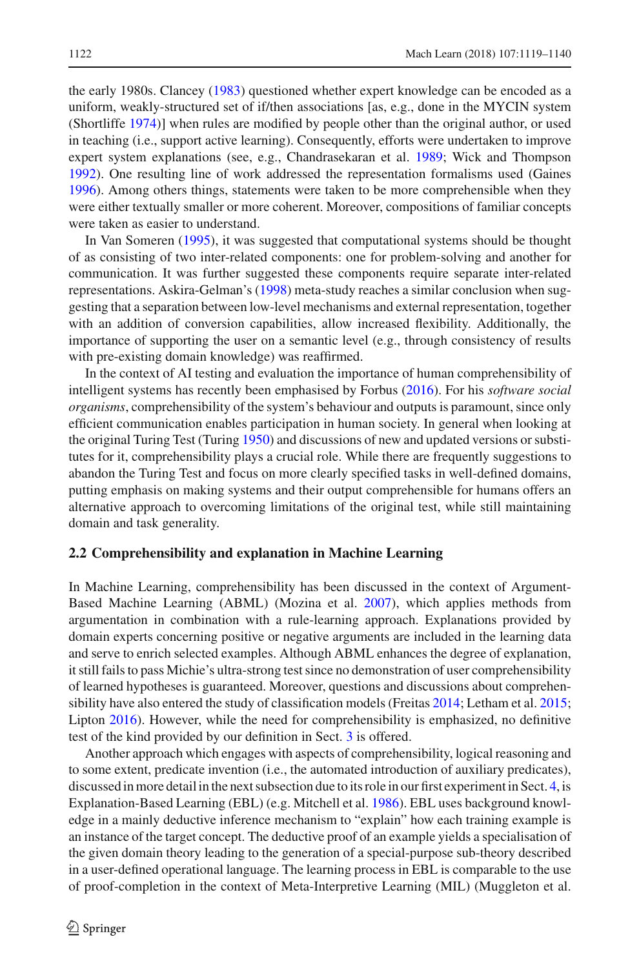the early 1980s. Clance[y](#page-20-0) [\(1983\)](#page-20-0) questioned whether expert knowledge can be encoded as a uniform, weakly-structured set of if/then associations [as, e.g., done in the MYCIN system (Shortliff[e](#page-21-2) [1974\)](#page-21-2)] when rules are modified by people other than the original author, or used in teaching (i.e., support active learning). Consequently, efforts were undertaken to improve expert system explanations (see, e.g., Chandrasekaran et al[.](#page-20-1) [1989;](#page-20-1) Wick and Thompso[n](#page-21-3) [1992](#page-21-3)). One resulting line of work addressed the representation formalisms used (Gaine[s](#page-20-2) [1996](#page-20-2)). Among others things, statements were taken to be more comprehensible when they were either textually smaller or more coherent. Moreover, compositions of familiar concepts were taken as easier to understand.

In Van Somere[n](#page-21-4) [\(1995\)](#page-21-4), it was suggested that computational systems should be thought of as consisting of two inter-related components: one for problem-solving and another for communication. It was further suggested these components require separate inter-related representations. Askira-Gelman's [\(1998\)](#page-20-3) meta-study reaches a similar conclusion when suggesting that a separation between low-level mechanisms and external representation, together with an addition of conversion capabilities, allow increased flexibility. Additionally, the importance of supporting the user on a semantic level (e.g., through consistency of results with pre-existing domain knowledge) was reaffirmed.

In the context of AI testing and evaluation the importance of human comprehensibility of intelligent systems has recently been emphasised by Forbu[s](#page-20-4) [\(2016](#page-20-4)). For his *software social organisms*, comprehensibility of the system's behaviour and outputs is paramount, since only efficient communication enables participation in human society. In general when looking at the original Turing Test (Turin[g](#page-21-5) [1950](#page-21-5)) and discussions of new and updated versions or substitutes for it, comprehensibility plays a crucial role. While there are frequently suggestions to abandon the Turing Test and focus on more clearly specified tasks in well-defined domains, putting emphasis on making systems and their output comprehensible for humans offers an alternative approach to overcoming limitations of the original test, while still maintaining domain and task generality.

#### **2.2 Comprehensibility and explanation in Machine Learning**

In Machine Learning, comprehensibility has been discussed in the context of Argument-Based Machine Learning (ABML) (Mozina et al[.](#page-21-6) [2007](#page-21-6)), which applies methods from argumentation in combination with a rule-learning approach. Explanations provided by domain experts concerning positive or negative arguments are included in the learning data and serve to enrich selected examples. Although ABML enhances the degree of explanation, it still fails to pass Michie's ultra-strong test since no demonstration of user comprehensibility of learned hypotheses is guaranteed. Moreover, questions and discussions about comprehensibility have also entered the study of classification models (Freita[s](#page-20-5) [2014;](#page-20-5) Letham et al[.](#page-20-6) [2015](#page-20-6); Lipto[n](#page-20-7) [2016](#page-20-7)). However, while the need for comprehensibility is emphasized, no definitive test of the kind provided by our definition in Sect. [3](#page-6-0) is offered.

Another approach which engages with aspects of comprehensibility, logical reasoning and to some extent, predicate invention (i.e., the automated introduction of auxiliary predicates), discussed in more detail in the next subsection due to its role in our first experiment in Sect. [4,](#page-8-0) is Explanation-Based Learning (EBL) (e.g. Mitchell et al[.](#page-21-7) [1986\)](#page-21-7). EBL uses background knowledge in a mainly deductive inference mechanism to "explain" how each training example is an instance of the target concept. The deductive proof of an example yields a specialisation of the given domain theory leading to the generation of a special-purpose sub-theory described in a user-defined operational language. The learning process in EBL is comparable to the use of proof-completion in the context of Meta-Interpretive Learning (MIL) (Muggleton et al[.](#page-21-8)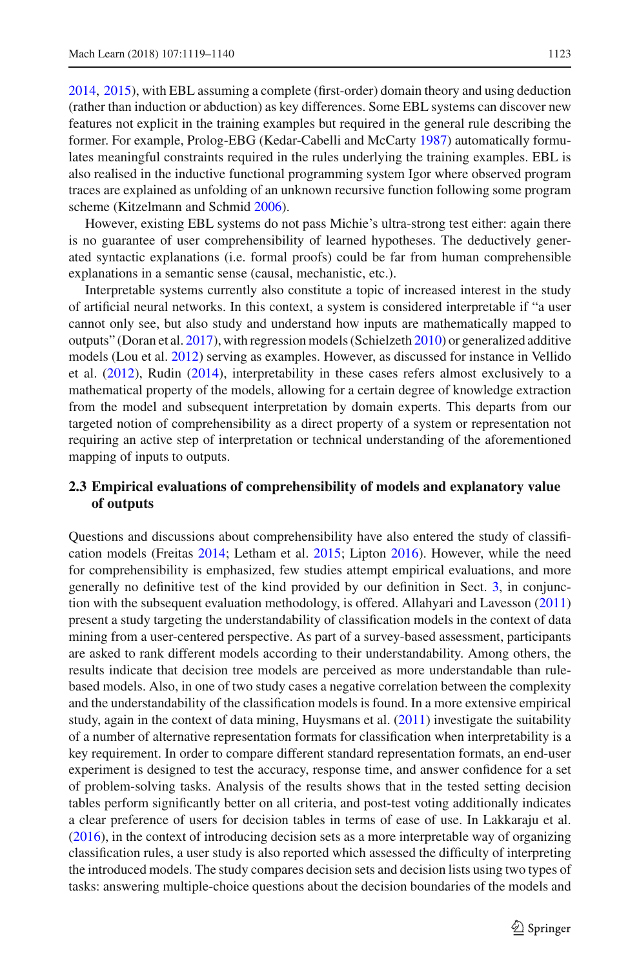[2014](#page-21-8), [2015](#page-21-9)), with EBL assuming a complete (first-order) domain theory and using deduction (rather than induction or abduction) as key differences. Some EBL systems can discover new features not explicit in the training examples but required in the general rule describing the former. For example, Prolog-EBG (Kedar-Cabelli and McCart[y](#page-20-8) [1987\)](#page-20-8) automatically formulates meaningful constraints required in the rules underlying the training examples. EBL is also realised in the inductive functional programming system Igor where observed program traces are explained as unfolding of an unknown recursive function following some program scheme (Kitzelmann and Schmi[d](#page-20-9) [2006\)](#page-20-9).

However, existing EBL systems do not pass Michie's ultra-strong test either: again there is no guarantee of user comprehensibility of learned hypotheses. The deductively generated syntactic explanations (i.e. formal proofs) could be far from human comprehensible explanations in a semantic sense (causal, mechanistic, etc.).

Interpretable systems currently also constitute a topic of increased interest in the study of artificial neural networks. In this context, a system is considered interpretable if "a user cannot only see, but also study and understand how inputs are mathematically mapped to outputs" (Doran et al[.](#page-20-10) [2017\)](#page-20-10), with regression models (Schielzet[h](#page-21-10) [2010\)](#page-21-10) or generalized additive models (Lou et al[.](#page-21-11) [2012\)](#page-21-11) serving as examples. However, as discussed for instance in Vellido et al[.](#page-21-12) [\(2012\)](#page-21-12), Rudi[n](#page-21-13) [\(2014\)](#page-21-13), interpretability in these cases refers almost exclusively to a mathematical property of the models, allowing for a certain degree of knowledge extraction from the model and subsequent interpretation by domain experts. This departs from our targeted notion of comprehensibility as a direct property of a system or representation not requiring an active step of interpretation or technical understanding of the aforementioned mapping of inputs to outputs.

### **2.3 Empirical evaluations of comprehensibility of models and explanatory value of outputs**

Questions and discussions about comprehensibility have also entered the study of classification models (Freita[s](#page-20-5) [2014](#page-20-5); Letham et al[.](#page-20-6) [2015;](#page-20-6) Lipto[n](#page-20-7) [2016](#page-20-7)). However, while the need for comprehensibility is emphasized, few studies attempt empirical evaluations, and more generally no definitive test of the kind provided by our definition in Sect. [3,](#page-6-0) in conjunction with the subsequent evaluation methodology, is offered. Allahyari and Lavesso[n](#page-20-11) [\(2011\)](#page-20-11) present a study targeting the understandability of classification models in the context of data mining from a user-centered perspective. As part of a survey-based assessment, participants are asked to rank different models according to their understandability. Among others, the results indicate that decision tree models are perceived as more understandable than rulebased models. Also, in one of two study cases a negative correlation between the complexity and the understandability of the classification models is found. In a more extensive empirical study, again in the context of data mining, Huysmans et al[.](#page-20-12) [\(2011](#page-20-12)) investigate the suitability of a number of alternative representation formats for classification when interpretability is a key requirement. In order to compare different standard representation formats, an end-user experiment is designed to test the accuracy, response time, and answer confidence for a set of problem-solving tasks. Analysis of the results shows that in the tested setting decision tables perform significantly better on all criteria, and post-test voting additionally indicates a clear preference of users for decision tables in terms of ease of use. In Lakkaraju et al[.](#page-20-13) [\(2016](#page-20-13)), in the context of introducing decision sets as a more interpretable way of organizing classification rules, a user study is also reported which assessed the difficulty of interpreting the introduced models. The study compares decision sets and decision lists using two types of tasks: answering multiple-choice questions about the decision boundaries of the models and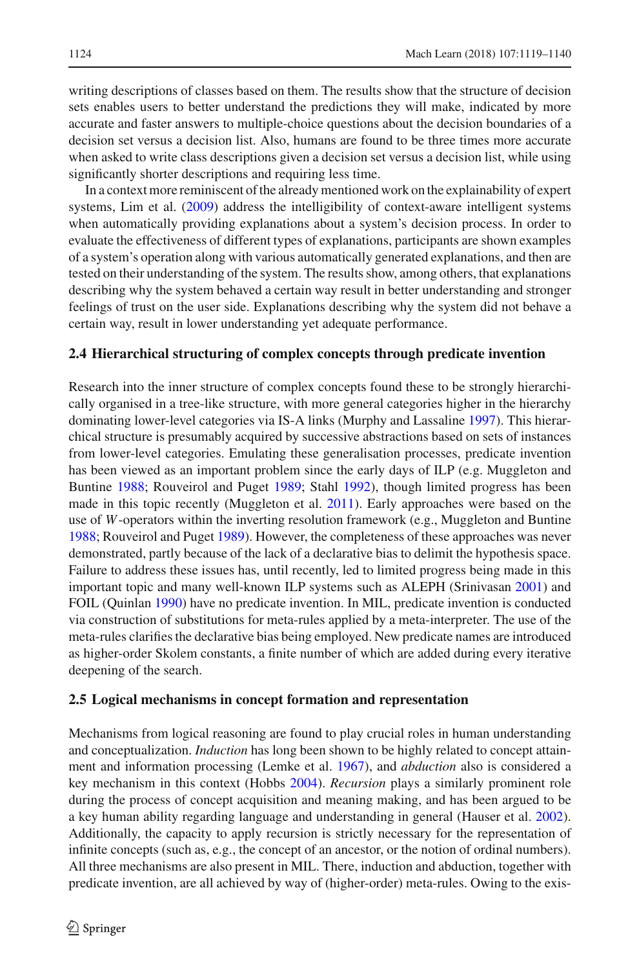writing descriptions of classes based on them. The results show that the structure of decision sets enables users to better understand the predictions they will make, indicated by more accurate and faster answers to multiple-choice questions about the decision boundaries of a decision set versus a decision list. Also, humans are found to be three times more accurate when asked to write class descriptions given a decision set versus a decision list, while using significantly shorter descriptions and requiring less time.

In a context more reminiscent of the already mentioned work on the explainability of expert systems, Lim et al[.](#page-20-14) [\(2009](#page-20-14)) address the intelligibility of context-aware intelligent systems when automatically providing explanations about a system's decision process. In order to evaluate the effectiveness of different types of explanations, participants are shown examples of a system's operation along with various automatically generated explanations, and then are tested on their understanding of the system. The results show, among others, that explanations describing why the system behaved a certain way result in better understanding and stronger feelings of trust on the user side. Explanations describing why the system did not behave a certain way, result in lower understanding yet adequate performance.

### **2.4 Hierarchical structuring of complex concepts through predicate invention**

Research into the inner structure of complex concepts found these to be strongly hierarchically organised in a tree-like structure, with more general categories higher in the hierarchy dominating lower-level categories via IS-A links (Murphy and Lassalin[e](#page-21-14) [1997](#page-21-14)). This hierarchical structure is presumably acquired by successive abstractions based on sets of instances from lower-level categories. Emulating these generalisation processes, predicate invention has been viewed as an important problem since the early days of ILP (e.g. Muggleton and Buntin[e](#page-21-15) [1988](#page-21-15); Rouveirol and Puge[t](#page-21-16) [1989](#page-21-16); Stah[l](#page-21-17) [1992](#page-21-17)), though limited progress has been made in this topic recently (Muggleton et al[.](#page-21-18) [2011\)](#page-21-18). Early approaches were based on the use of *W*-operators within the inverting resolution framework (e.g., Muggleton and Buntin[e](#page-21-15) [1988](#page-21-15); Rouveirol and Puge[t](#page-21-16) [1989](#page-21-16)). However, the completeness of these approaches was never demonstrated, partly because of the lack of a declarative bias to delimit the hypothesis space. Failure to address these issues has, until recently, led to limited progress being made in this important topic and many well-known ILP systems such as ALEPH (Srinivasa[n](#page-21-19) [2001\)](#page-21-19) and FOIL (Quinla[n](#page-21-20) [1990](#page-21-20)) have no predicate invention. In MIL, predicate invention is conducted via construction of substitutions for meta-rules applied by a meta-interpreter. The use of the meta-rules clarifies the declarative bias being employed. New predicate names are introduced as higher-order Skolem constants, a finite number of which are added during every iterative deepening of the search.

### **2.5 Logical mechanisms in concept formation and representation**

Mechanisms from logical reasoning are found to play crucial roles in human understanding and conceptualization. *Induction* has long been shown to be highly related to concept attainment and information processing (Lemke et al[.](#page-20-15) [1967\)](#page-20-15), and *abduction* also is considered a key mechanism in this context (Hobb[s](#page-20-16) [2004\)](#page-20-16). *Recursion* plays a similarly prominent role during the process of concept acquisition and meaning making, and has been argued to be a key human ability regarding language and understanding in general (Hauser et al[.](#page-20-17) [2002\)](#page-20-17). Additionally, the capacity to apply recursion is strictly necessary for the representation of infinite concepts (such as, e.g., the concept of an ancestor, or the notion of ordinal numbers). All three mechanisms are also present in MIL. There, induction and abduction, together with predicate invention, are all achieved by way of (higher-order) meta-rules. Owing to the exis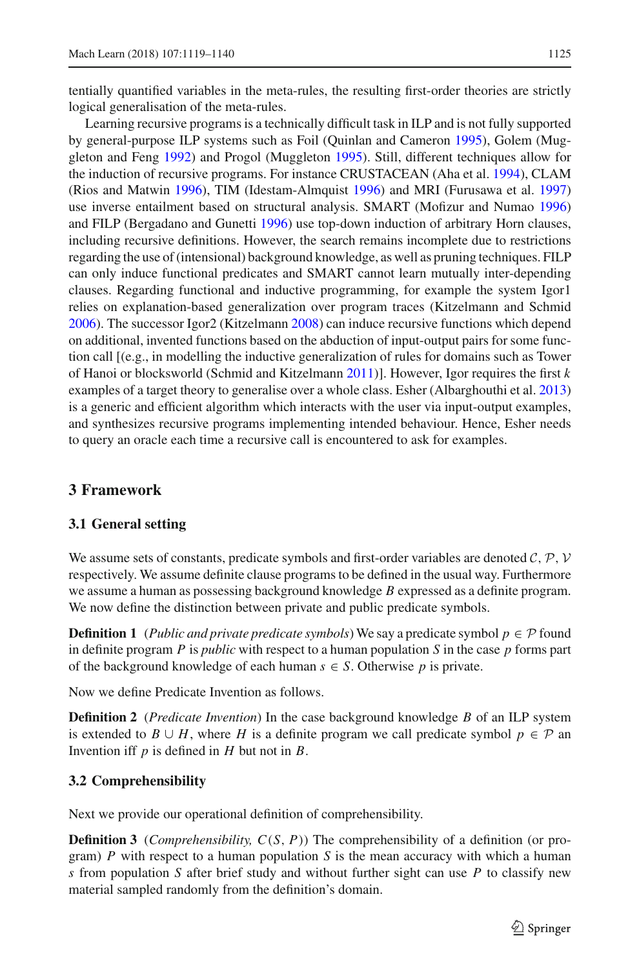tentially quantified variables in the meta-rules, the resulting first-order theories are strictly logical generalisation of the meta-rules.

Learning recursive programs is a technically difficult task in ILP and is not fully supported by general-purpose ILP systems such as Foil (Quinlan and Camero[n](#page-21-21) [1995\)](#page-21-21), Golem (Muggleton and Fen[g](#page-21-22) [1992\)](#page-21-22) and Progol (Muggleto[n](#page-21-23) [1995](#page-21-23)). Still, different techniques allow for the induction of recursive programs. For instance CRUSTACEAN (Aha et al[.](#page-20-18) [1994](#page-20-18)), CLAM (Rios and Matwi[n](#page-21-24) [1996](#page-21-24)), TIM (Idestam-Almquis[t](#page-20-19) [1996\)](#page-20-19) and MRI (Furusawa et al[.](#page-20-20) [1997\)](#page-20-20) use inverse entailment based on structural analysis. SMART (Mofizur and Numa[o](#page-21-25) [1996\)](#page-21-25) and FILP (Bergadano and Gunett[i](#page-20-21) [1996\)](#page-20-21) use top-down induction of arbitrary Horn clauses, including recursive definitions. However, the search remains incomplete due to restrictions regarding the use of (intensional) background knowledge, as well as pruning techniques. FILP can only induce functional predicates and SMART cannot learn mutually inter-depending clauses. Regarding functional and inductive programming, for example the system Igor1 relies on explanation-based generalization over program traces (Kitzelmann and Schmi[d](#page-20-9) [2006](#page-20-9)). The successor Igor2 (Kitzelman[n](#page-20-22) [2008](#page-20-22)) can induce recursive functions which depend on additional, invented functions based on the abduction of input-output pairs for some function call [(e.g., in modelling the inductive generalization of rules for domains such as Tower of Hanoi or blocksworld (Schmid and Kitzelman[n](#page-21-26) [2011](#page-21-26))]. However, Igor requires the first *k* examples of a target theory to generalise over a whole class. Esher (Albarghouthi et al[.](#page-20-23) [2013\)](#page-20-23) is a generic and efficient algorithm which interacts with the user via input-output examples, and synthesizes recursive programs implementing intended behaviour. Hence, Esher needs to query an oracle each time a recursive call is encountered to ask for examples.

# <span id="page-6-0"></span>**3 Framework**

### **3.1 General setting**

We assume sets of constants, predicate symbols and first-order variables are denoted *C, P, V* respectively. We assume definite clause programs to be defined in the usual way. Furthermore we assume a human as possessing background knowledge *B* expressed as a definite program. We now define the distinction between private and public predicate symbols.

**Definition 1** (*Public and private predicate symbols*) We say a predicate symbol  $p \in \mathcal{P}$  found in definite program *P* is *public* with respect to a human population *S* in the case *p* forms part of the background knowledge of each human  $s \in S$ . Otherwise p is private.

Now we define Predicate Invention as follows.

**Definition 2** (*Predicate Invention*) In the case background knowledge *B* of an ILP system is extended to *B* ∪ *H*, where *H* is a definite program we call predicate symbol  $p \in \mathcal{P}$  and Invention iff *p* is defined in *H* but not in *B*.

### **3.2 Comprehensibility**

Next we provide our operational definition of comprehensibility.

**Definition 3** (*Comprehensibility, C(S, P)*) The comprehensibility of a definition (or program) *P* with respect to a human population *S* is the mean accuracy with which a human *s* from population *S* after brief study and without further sight can use *P* to classify new material sampled randomly from the definition's domain.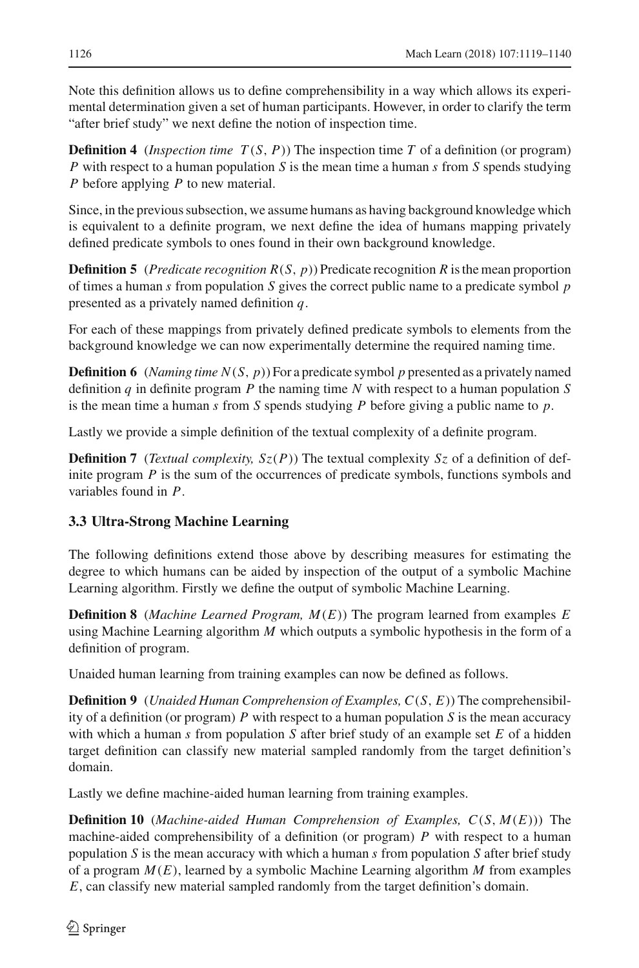Note this definition allows us to define comprehensibility in a way which allows its experimental determination given a set of human participants. However, in order to clarify the term "after brief study" we next define the notion of inspection time.

**Definition 4** (*Inspection time T*(*S, P*)) The inspection time *T* of a definition (or program) *P* with respect to a human population *S* is the mean time a human *s* from *S* spends studying *P* before applying *P* to new material.

Since, in the previous subsection, we assume humans as having background knowledge which is equivalent to a definite program, we next define the idea of humans mapping privately defined predicate symbols to ones found in their own background knowledge.

**Definition 5** (*Predicate recognition*  $R(S, p)$ ) Predicate recognition  $R$  is the mean proportion of times a human *s* from population *S* gives the correct public name to a predicate symbol *p* presented as a privately named definition *q*.

For each of these mappings from privately defined predicate symbols to elements from the background knowledge we can now experimentally determine the required naming time.

**Definition 6** (*Naming time*  $N(S, p)$ ) For a predicate symbol p presented as a privately named definition *q* in definite program *P* the naming time *N* with respect to a human population *S* is the mean time a human *s* from *S* spends studying *P* before giving a public name to *p*.

Lastly we provide a simple definition of the textual complexity of a definite program.

**Definition 7** (*Textual complexity,*  $S_z(P)$ ) The textual complexity  $S_z$  of a definition of definite program *P* is the sum of the occurrences of predicate symbols, functions symbols and variables found in *P*.

# **3.3 Ultra-Strong Machine Learning**

The following definitions extend those above by describing measures for estimating the degree to which humans can be aided by inspection of the output of a symbolic Machine Learning algorithm. Firstly we define the output of symbolic Machine Learning.

**Definition 8** (*Machine Learned Program, M(E)*) The program learned from examples *E* using Machine Learning algorithm *M* which outputs a symbolic hypothesis in the form of a definition of program.

Unaided human learning from training examples can now be defined as follows.

**Definition 9** (*Unaided Human Comprehension of Examples, C(S, E)*) The comprehensibility of a definition (or program) *P* with respect to a human population *S* is the mean accuracy with which a human *s* from population *S* after brief study of an example set *E* of a hidden target definition can classify new material sampled randomly from the target definition's domain.

Lastly we define machine-aided human learning from training examples.

**Definition 10** (*Machine-aided Human Comprehension of Examples, C(S, M(E))*) The machine-aided comprehensibility of a definition (or program) *P* with respect to a human population *S* is the mean accuracy with which a human *s* from population *S* after brief study of a program  $M(E)$ , learned by a symbolic Machine Learning algorithm  $M$  from examples *E*, can classify new material sampled randomly from the target definition's domain.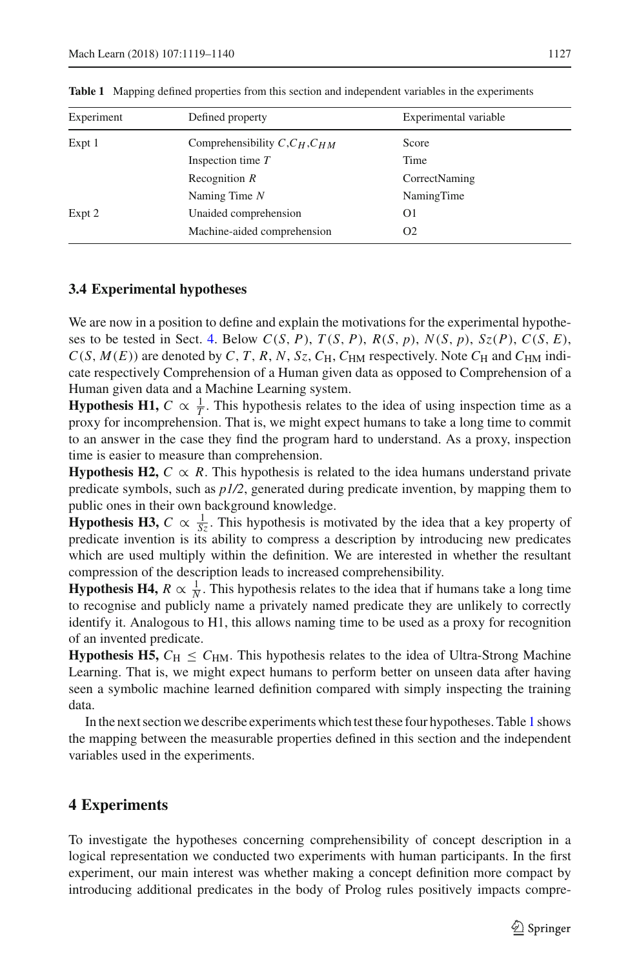| Experiment | Defined property                   | Experimental variable |
|------------|------------------------------------|-----------------------|
| Expt 1     | Comprehensibility $C, C_H, C_{HM}$ | Score                 |
|            | Inspection time $T$                | Time                  |
|            | Recognition $R$                    | CorrectNaming         |
|            | Naming Time $N$                    | NamingTime            |
| Expt 2     | Unaided comprehension              | O1                    |
|            | Machine-aided comprehension        | O <sub>2</sub>        |

<span id="page-8-1"></span>**Table 1** Mapping defined properties from this section and independent variables in the experiments

### **3.4 Experimental hypotheses**

We are now in a position to define and explain the motivations for the experimental hypothe-ses to be tested in Sect. [4.](#page-8-0) Below  $C(S, P)$ ,  $T(S, P)$ ,  $R(S, p)$ ,  $N(S, p)$ ,  $S_Z(P)$ ,  $C(S, E)$ ,  $C(S, M(E))$  are denoted by *C*, *T*, *R*, *N*, *Sz*, *C*<sub>H</sub>, *C*<sub>HM</sub> respectively. Note *C*<sub>H</sub> and *C*<sub>HM</sub> indicate respectively Comprehension of a Human given data as opposed to Comprehension of a Human given data and a Machine Learning system.

**Hypothesis H1,**  $C \propto \frac{1}{T}$ . This hypothesis relates to the idea of using inspection time as a proxy for incomprehension. That is, we might expect humans to take a long time to commit to an answer in the case they find the program hard to understand. As a proxy, inspection time is easier to measure than comprehension.

**Hypothesis H2,**  $C \propto R$ . This hypothesis is related to the idea humans understand private predicate symbols, such as *p1/2*, generated during predicate invention, by mapping them to public ones in their own background knowledge.

**Hypothesis H3,**  $C \propto \frac{1}{S_z}$ . This hypothesis is motivated by the idea that a key property of predicate invention is its ability to compress a description by introducing new predicates which are used multiply within the definition. We are interested in whether the resultant compression of the description leads to increased comprehensibility.

**Hypothesis H4,**  $R \propto \frac{1}{N}$ . This hypothesis relates to the idea that if humans take a long time to recognise and publicly name a privately named predicate they are unlikely to correctly identify it. Analogous to H1, this allows naming time to be used as a proxy for recognition of an invented predicate.

**Hypothesis H5,**  $C_H \leq C_{HM}$ . This hypothesis relates to the idea of Ultra-Strong Machine Learning. That is, we might expect humans to perform better on unseen data after having seen a symbolic machine learned definition compared with simply inspecting the training data.

In the next section we describe experiments which test these four hypotheses. Table [1](#page-8-1) shows the mapping between the measurable properties defined in this section and the independent variables used in the experiments.

### <span id="page-8-0"></span>**4 Experiments**

To investigate the hypotheses concerning comprehensibility of concept description in a logical representation we conducted two experiments with human participants. In the first experiment, our main interest was whether making a concept definition more compact by introducing additional predicates in the body of Prolog rules positively impacts compre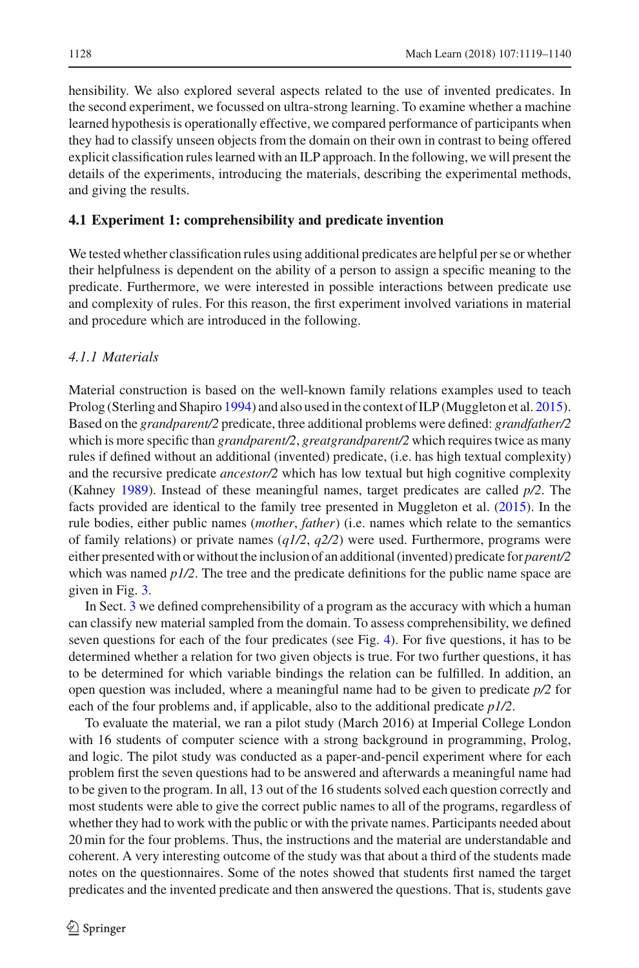hensibility. We also explored several aspects related to the use of invented predicates. In the second experiment, we focussed on ultra-strong learning. To examine whether a machine learned hypothesis is operationally effective, we compared performance of participants when they had to classify unseen objects from the domain on their own in contrast to being offered explicit classification rules learned with an ILP approach. In the following, we will present the details of the experiments, introducing the materials, describing the experimental methods, and giving the results.

#### **4.1 Experiment 1: comprehensibility and predicate invention**

We tested whether classification rules using additional predicates are helpful per se or whether their helpfulness is dependent on the ability of a person to assign a specific meaning to the predicate. Furthermore, we were interested in possible interactions between predicate use and complexity of rules. For this reason, the first experiment involved variations in material and procedure which are introduced in the following.

#### *4.1.1 Materials*

Material construction is based on the well-known family relations examples used to teach Prolog (Sterling and Shapir[o](#page-21-27) [1994](#page-21-27)) and also used in the context of ILP (Muggleton et al[.](#page-21-9) [2015](#page-21-9)). Based on the *grandparent/2* predicate, three additional problems were defined: *grandfather/2* which is more specific than *grandparent/2*, *greatgrandparent/2* which requires twice as many rules if defined without an additional (invented) predicate, (i.e. has high textual complexity) and the recursive predicate *ancestor/2* which has low textual but high cognitive complexity (Kahne[y](#page-20-24) [1989](#page-20-24)). Instead of these meaningful names, target predicates are called *p/2*. The facts provided are identical to the family tree presented in Muggleton et al[.](#page-21-9) [\(2015](#page-21-9)). In the rule bodies, either public names (*mother*, *father*) (i.e. names which relate to the semantics of family relations) or private names (*q1/2*, *q2/2*) were used. Furthermore, programs were either presented with or without the inclusion of an additional (invented) predicate for *parent/2* which was named  $p/2$ . The tree and the predicate definitions for the public name space are given in Fig. [3.](#page-10-0)

In Sect. [3](#page-6-0) we defined comprehensibility of a program as the accuracy with which a human can classify new material sampled from the domain. To assess comprehensibility, we defined seven questions for each of the four predicates (see Fig. [4\)](#page-10-1). For five questions, it has to be determined whether a relation for two given objects is true. For two further questions, it has to be determined for which variable bindings the relation can be fulfilled. In addition, an open question was included, where a meaningful name had to be given to predicate *p/2* for each of the four problems and, if applicable, also to the additional predicate *p1/2*.

To evaluate the material, we ran a pilot study (March 2016) at Imperial College London with 16 students of computer science with a strong background in programming, Prolog, and logic. The pilot study was conducted as a paper-and-pencil experiment where for each problem first the seven questions had to be answered and afterwards a meaningful name had to be given to the program. In all, 13 out of the 16 students solved each question correctly and most students were able to give the correct public names to all of the programs, regardless of whether they had to work with the public or with the private names. Participants needed about 20min for the four problems. Thus, the instructions and the material are understandable and coherent. A very interesting outcome of the study was that about a third of the students made notes on the questionnaires. Some of the notes showed that students first named the target predicates and the invented predicate and then answered the questions. That is, students gave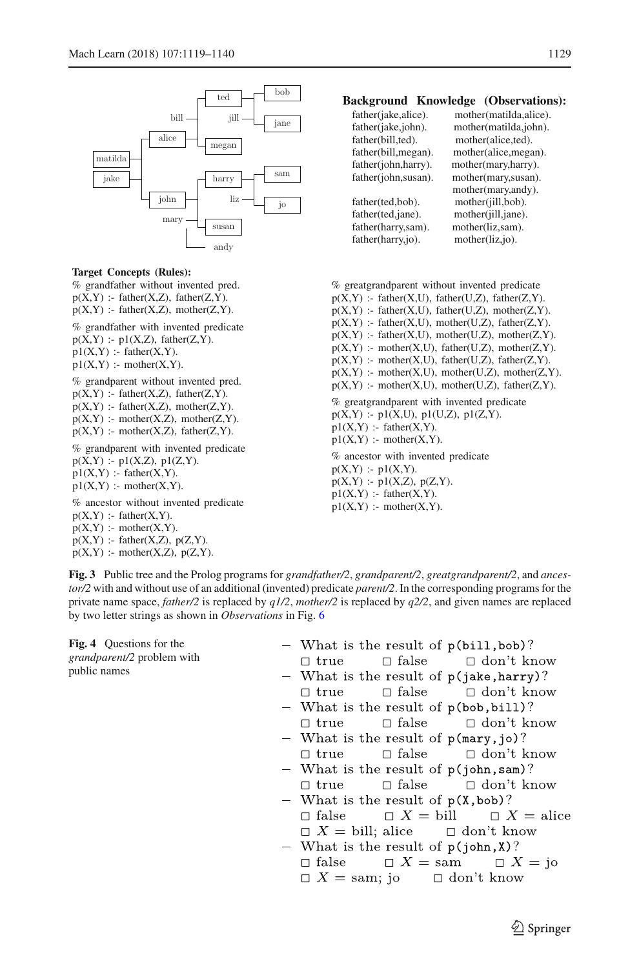

#### **Target Concepts (Rules):**

% grandfather without invented pred.  $p(X,Y)$  :- father(X,Z), father(Z,Y).  $p(X,Y)$  :- father $(X,Z)$ , mother $(Z,Y)$ .

% grandfather with invented predicate  $p(X,Y)$  :-  $p1(X,Z)$ , father( $Z,Y$ ).  $p1(X,Y)$  :- father $(X,Y)$ .  $p1(X,Y)$  :- mother $(X,Y)$ .

% grandparent without invented pred.  $p(X,Y)$  :- father(X,Z), father(Z,Y).  $p(X,Y)$  :- father(X,Z), mother(Z,Y).  $p(X,Y)$  :- mother $(X,Z)$ , mother $(Z,Y)$ .  $p(X,Y)$  :- mother $(X,Z)$ , father $(Z,Y)$ .

% grandparent with invented predicate  $p(X,Y) := p1(X,Z), p1(Z,Y).$  $p1(X,Y)$  :- father $(X,Y)$ .  $p1(X,Y)$  :- mother $(X,Y)$ .

% ancestor without invented predicate  $p(X,Y)$  :- father $(X,Y)$ .  $p(X,Y)$  :- mother $(X,Y)$ .  $p(X,Y)$  :- father(X,Z),  $p(Z,Y)$ .  $p(X,Y)$  :- mother(X,Z),  $p(Z,Y)$ .

#### **Background Knowledge (Observations):**

| father(jake,alice).  | mother(matilda, alice). |  |
|----------------------|-------------------------|--|
| father(jake,john).   | mother(matilda,john).   |  |
| father(bill,ted).    | mother(alice,ted).      |  |
| father(bill, megan). | mother(alice, megan).   |  |
| father(john,harry).  | mother(mary,harry).     |  |
| father(john, susan). | mother(mary, susan).    |  |
|                      | mother(mary, and y).    |  |
| father(ted,bob).     | mother(jill,bob).       |  |
| father(ted, jane).   | mother(jill,jane).      |  |
| father(harry,sam).   | mother(liz,sam).        |  |
| father(harry,jo).    | mother(liz, jo).        |  |
|                      |                         |  |

% greatgrandparent without invented predicate  $p(X,Y)$  :- father(X,U), father(U,Z), father(Z,Y).  $p(X,Y)$  :- father(X,U), father(U,Z), mother(Z,Y).  $p(X,Y)$  :- father $(X,U)$ , mother $(U,Z)$ , father $(Z,Y)$ .  $p(X,Y)$  :- father(X,U), mother(U,Z), mother(Z,Y).  $p(X,Y)$  :- mother $(X,U)$ , father $(U,Z)$ , mother $(Z,Y)$ .  $p(X,Y)$  :- mother $(X,U)$ , father $(U,Z)$ , father $(Z,Y)$ .  $p(X,Y)$  :- mother $(X,U)$ , mother $(U,Z)$ , mother $(Z,Y)$ .  $p(X,Y)$  :- mother $(X,U)$ , mother $(U,Z)$ , father $(Z,Y)$ . % greatgrandparent with invented predicate  $p(X,Y)$  :-  $p1(X,U)$ ,  $p1(U,Z)$ ,  $p1(Z,Y)$ .  $p1(X,Y)$  :- father $(X,Y)$ .  $p1(X,Y)$  :- mother $(X,Y)$ . % ancestor with invented predicate  $p(X,Y) := p1(X,Y)$ .  $p(X,Y) := p1(X,Z), p(Z,Y).$  $p1(X,Y)$  :- father $(X,Y)$ .  $p1(X,Y)$  :- mother $(X,Y)$ .

<span id="page-10-0"></span>**Fig. 3** Public tree and the Prolog programs for *grandfather/2*, *grandparent/2*, *greatgrandparent/2*, and *ancestor/2* with and without use of an additional (invented) predicate *parent/2*. In the corresponding programs for the private name space, *father/2* is replaced by *q1/2*, *mother/2* is replaced by *q2/2*, and given names are replaced by two letter strings as shown in *Observations* in Fig. [6](#page-15-0)

<span id="page-10-1"></span>

|              | Fig. 4 Ouestions for the   |
|--------------|----------------------------|
|              | grandparent/2 problem with |
| public names |                            |

- What is the result of p(bill, bob)?  $\Box$  true  $\Box$  false  $\Box$  don't know - What is the result of  $p(iake, harry)$ ?  $\sqcap$  false  $\sqcap$  true  $\Box$  don't know - What is the result of p(bob, bill)?  $\Box$  false  $\Box$  don't know  $\Box$  true - What is the result of  $p(\text{mary}, i\text{o})$ ?  $\Box$  true  $\Box$  false  $\Box$  don't know - What is the result of p(john, sam)?  $\Box$  false  $\Box$  don't know  $\Box$  true - What is the result of  $p(X, bob)$ ?  $\Box X = \text{bill}$  $\Box$  false  $\Box X = \text{alice}$  $\Box X = \text{bill}$ ; alice  $\Box$  don't know - What is the result of  $p(john,X)$ ?  $\Box$  false  $\Box X =$ sam  $\nabla X = i\alpha$ 

$$
\Box X = \text{sam}; \quad \Box X = \text{sam}
$$
  

$$
\Box X = \text{sam}; \quad \Box \text{don't know}
$$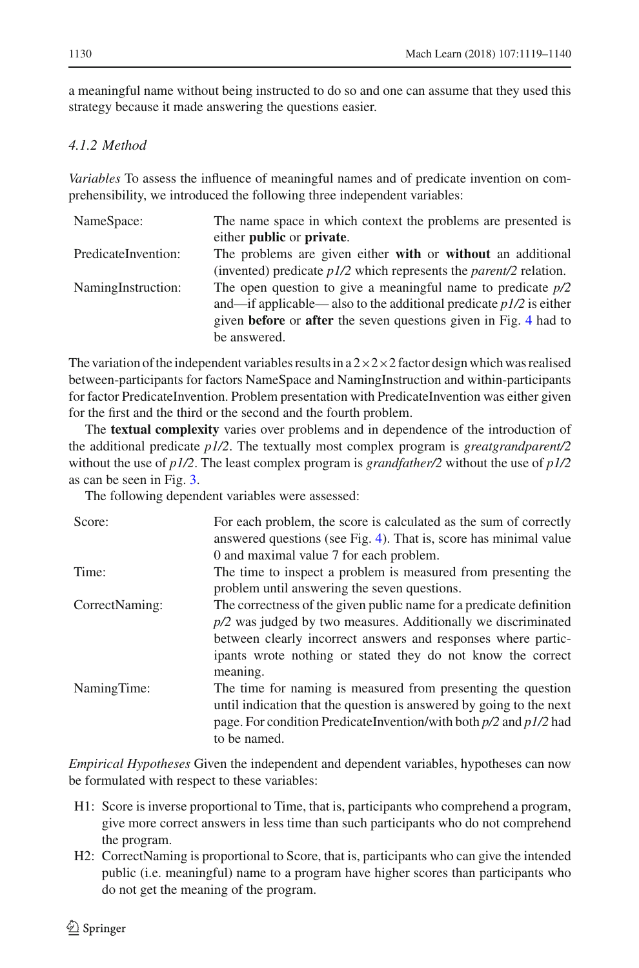a meaningful name without being instructed to do so and one can assume that they used this strategy because it made answering the questions easier.

## *4.1.2 Method*

*Variables* To assess the influence of meaningful names and of predicate invention on comprehensibility, we introduced the following three independent variables:

| NameSpace:          | The name space in which context the problems are presented is                                                                                                                                                                          |
|---------------------|----------------------------------------------------------------------------------------------------------------------------------------------------------------------------------------------------------------------------------------|
|                     | either <b>public</b> or <b>private</b> .                                                                                                                                                                                               |
| PredicateInvention: | The problems are given either with or without an additional<br>(invented) predicate $p/2$ which represents the <i>parent</i> /2 relation.                                                                                              |
| NamingInstruction:  | The open question to give a meaningful name to predicate $p/2$<br>and—if applicable—also to the additional predicate $p/2$ is either<br>given <b>before</b> or <b>after</b> the seven questions given in Fig. 4 had to<br>be answered. |

The variation of the independent variables results in a  $2 \times 2 \times 2$  factor design which was realised between-participants for factors NameSpace and NamingInstruction and within-participants for factor PredicateInvention. Problem presentation with PredicateInvention was either given for the first and the third or the second and the fourth problem.

The **textual complexity** varies over problems and in dependence of the introduction of the additional predicate *p1/2*. The textually most complex program is *greatgrandparent/2* without the use of *p1/2*. The least complex program is *grandfather/2* without the use of *p1/2* as can be seen in Fig. [3.](#page-10-0)

The following dependent variables were assessed:

| Score:         | For each problem, the score is calculated as the sum of correctly<br>answered questions (see Fig. 4). That is, score has minimal value<br>0 and maximal value 7 for each problem.                                                                                                  |
|----------------|------------------------------------------------------------------------------------------------------------------------------------------------------------------------------------------------------------------------------------------------------------------------------------|
| Time:          | The time to inspect a problem is measured from presenting the<br>problem until answering the seven questions.                                                                                                                                                                      |
| CorrectNaming: | The correctness of the given public name for a predicate definition<br>$p/2$ was judged by two measures. Additionally we discriminated<br>between clearly incorrect answers and responses where partic-<br>ipants wrote nothing or stated they do not know the correct<br>meaning. |
| NamingTime:    | The time for naming is measured from presenting the question<br>until indication that the question is answered by going to the next<br>page. For condition PredicateInvention/with both $p/2$ and $p/2$ had<br>to be named.                                                        |

*Empirical Hypotheses* Given the independent and dependent variables, hypotheses can now be formulated with respect to these variables:

- H1: Score is inverse proportional to Time, that is, participants who comprehend a program, give more correct answers in less time than such participants who do not comprehend the program.
- H2: CorrectNaming is proportional to Score, that is, participants who can give the intended public (i.e. meaningful) name to a program have higher scores than participants who do not get the meaning of the program.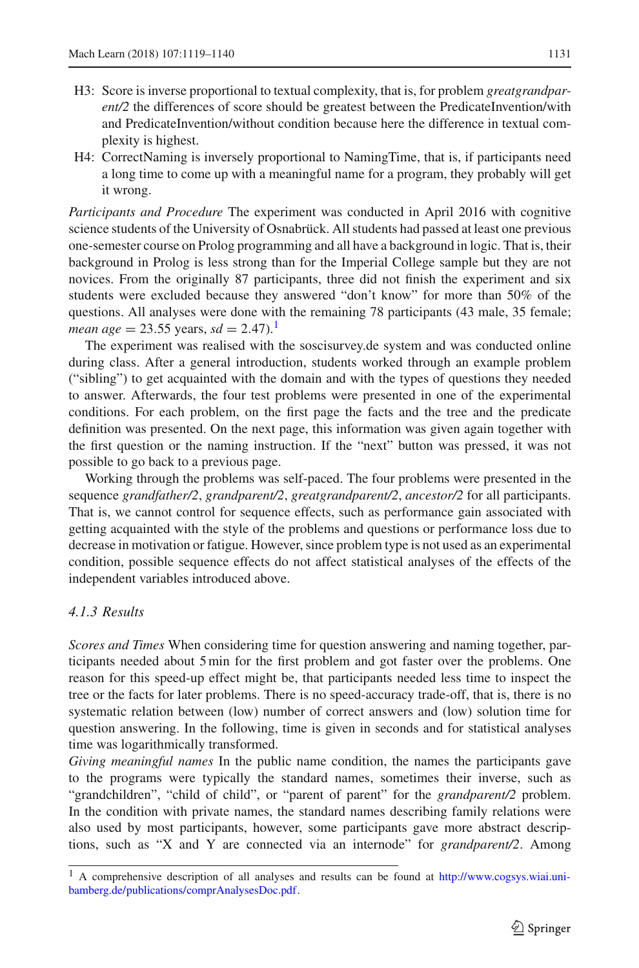- H3: Score is inverse proportional to textual complexity, that is, for problem *greatgrandparent/2* the differences of score should be greatest between the PredicateInvention/with and PredicateInvention/without condition because here the difference in textual complexity is highest.
- H4: CorrectNaming is inversely proportional to NamingTime, that is, if participants need a long time to come up with a meaningful name for a program, they probably will get it wrong.

*Participants and Procedure* The experiment was conducted in April 2016 with cognitive science students of the University of Osnabrück. All students had passed at least one previous one-semester course on Prolog programming and all have a background in logic. That is, their background in Prolog is less strong than for the Imperial College sample but they are not novices. From the originally 87 participants, three did not finish the experiment and six students were excluded because they answered "don't know" for more than 50% of the questions. All analyses were done with the remaining 78 participants (43 male, 35 female; *mean age* = 23.55 years,  $sd = 2.47$ .<sup>[1](#page-12-0)</sup>

The experiment was realised with the soscisurvey.de system and was conducted online during class. After a general introduction, students worked through an example problem ("sibling") to get acquainted with the domain and with the types of questions they needed to answer. Afterwards, the four test problems were presented in one of the experimental conditions. For each problem, on the first page the facts and the tree and the predicate definition was presented. On the next page, this information was given again together with the first question or the naming instruction. If the "next" button was pressed, it was not possible to go back to a previous page.

Working through the problems was self-paced. The four problems were presented in the sequence *grandfather/2*, *grandparent/2*, *greatgrandparent/2*, *ancestor/2* for all participants. That is, we cannot control for sequence effects, such as performance gain associated with getting acquainted with the style of the problems and questions or performance loss due to decrease in motivation or fatigue. However, since problem type is not used as an experimental condition, possible sequence effects do not affect statistical analyses of the effects of the independent variables introduced above.

#### *4.1.3 Results*

*Scores and Times* When considering time for question answering and naming together, participants needed about 5min for the first problem and got faster over the problems. One reason for this speed-up effect might be, that participants needed less time to inspect the tree or the facts for later problems. There is no speed-accuracy trade-off, that is, there is no systematic relation between (low) number of correct answers and (low) solution time for question answering. In the following, time is given in seconds and for statistical analyses time was logarithmically transformed.

*Giving meaningful names* In the public name condition, the names the participants gave to the programs were typically the standard names, sometimes their inverse, such as "grandchildren", "child of child", or "parent of parent" for the *grandparent/2* problem. In the condition with private names, the standard names describing family relations were also used by most participants, however, some participants gave more abstract descriptions, such as "X and Y are connected via an internode" for *grandparent/2*. Among

<span id="page-12-0"></span><sup>&</sup>lt;sup>1</sup> A comprehensive description of all analyses and results can be found at [http://www.cogsys.wiai.uni](http://www.cogsys.wiai.uni-bamberg.de/publications/comprAnalysesDoc.pdf)[bamberg.de/publications/comprAnalysesDoc.pdf.](http://www.cogsys.wiai.uni-bamberg.de/publications/comprAnalysesDoc.pdf)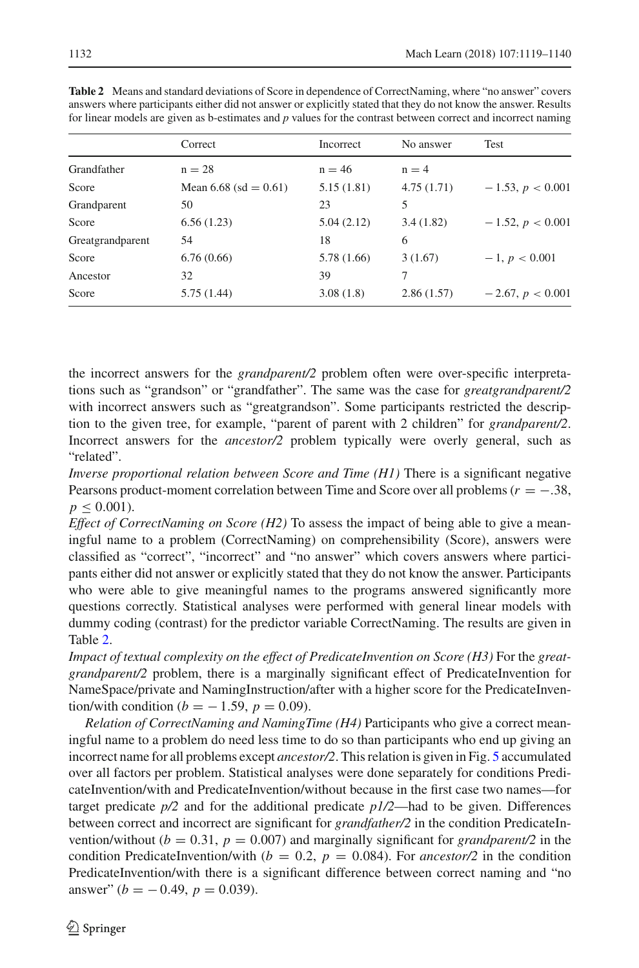|                  | Correct                 | <b>Incorrect</b> | No answer  | Test               |
|------------------|-------------------------|------------------|------------|--------------------|
| Grandfather      | $n = 28$                | $n = 46$         | $n = 4$    |                    |
| Score            | Mean $6.68$ (sd = 0.61) | 5.15(1.81)       | 4.75(1.71) | $-1.53, p < 0.001$ |
| Grandparent      | 50                      | 23               | 5          |                    |
| Score            | 6.56(1.23)              | 5.04(2.12)       | 3.4(1.82)  | $-1.52, p < 0.001$ |
| Greatgrandparent | 54                      | 18               | 6          |                    |
| Score            | 6.76(0.66)              | 5.78 (1.66)      | 3(1.67)    | $-1, p < 0.001$    |
| Ancestor         | 32                      | 39               | 7          |                    |
| Score            | 5.75(1.44)              | 3.08(1.8)        | 2.86(1.57) | $-2.67, p < 0.001$ |
|                  |                         |                  |            |                    |

<span id="page-13-0"></span>**Table 2** Means and standard deviations of Score in dependence of CorrectNaming, where "no answer" covers answers where participants either did not answer or explicitly stated that they do not know the answer. Results for linear models are given as b-estimates and *p* values for the contrast between correct and incorrect naming

the incorrect answers for the *grandparent/2* problem often were over-specific interpretations such as "grandson" or "grandfather". The same was the case for *greatgrandparent/2* with incorrect answers such as "greatgrandson". Some participants restricted the description to the given tree, for example, "parent of parent with 2 children" for *grandparent/2*. Incorrect answers for the *ancestor/2* problem typically were overly general, such as "related".

*Inverse proportional relation between Score and Time (H1)* There is a significant negative Pearsons product-moment correlation between Time and Score over all problems (*r* = −*.*38,  $p \leq 0.001$ ).

*Effect of CorrectNaming on Score (H2)* To assess the impact of being able to give a meaningful name to a problem (CorrectNaming) on comprehensibility (Score), answers were classified as "correct", "incorrect" and "no answer" which covers answers where participants either did not answer or explicitly stated that they do not know the answer. Participants who were able to give meaningful names to the programs answered significantly more questions correctly. Statistical analyses were performed with general linear models with dummy coding (contrast) for the predictor variable CorrectNaming. The results are given in Table [2.](#page-13-0)

*Impact of textual complexity on the effect of PredicateInvention on Score (H3)* For the *greatgrandparent/2* problem, there is a marginally significant effect of PredicateInvention for NameSpace/private and NamingInstruction/after with a higher score for the PredicateInvention/with condition ( $b = -1.59$ ,  $p = 0.09$ ).

*Relation of CorrectNaming and NamingTime (H4)* Participants who give a correct meaningful name to a problem do need less time to do so than participants who end up giving an incorrect name for all problems except *ancestor/2*. This relation is given in Fig. [5](#page-14-0) accumulated over all factors per problem. Statistical analyses were done separately for conditions PredicateInvention/with and PredicateInvention/without because in the first case two names—for target predicate *p/2* and for the additional predicate *p1/2*—had to be given. Differences between correct and incorrect are significant for *grandfather/2* in the condition PredicateInvention/without ( $b = 0.31$ ,  $p = 0.007$ ) and marginally significant for *grandparent*/2 in the condition PredicateInvention/with ( $b = 0.2$ ,  $p = 0.084$ ). For *ancestor*/2 in the condition PredicateInvention/with there is a significant difference between correct naming and "no answer" ( $b = -0.49$ ,  $p = 0.039$ ).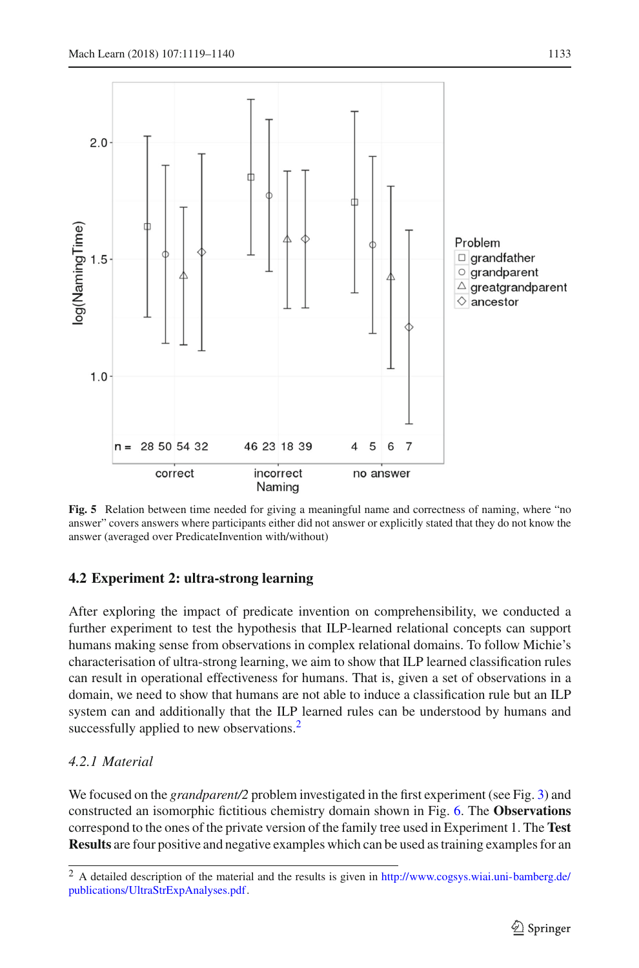

<span id="page-14-0"></span>**Fig. 5** Relation between time needed for giving a meaningful name and correctness of naming, where "no answer" covers answers where participants either did not answer or explicitly stated that they do not know the answer (averaged over PredicateInvention with/without)

### **4.2 Experiment 2: ultra-strong learning**

After exploring the impact of predicate invention on comprehensibility, we conducted a further experiment to test the hypothesis that ILP-learned relational concepts can support humans making sense from observations in complex relational domains. To follow Michie's characterisation of ultra-strong learning, we aim to show that ILP learned classification rules can result in operational effectiveness for humans. That is, given a set of observations in a domain, we need to show that humans are not able to induce a classification rule but an ILP system can and additionally that the ILP learned rules can be understood by humans and successfully applied to new observations.<sup>2</sup>

### *4.2.1 Material*

We focused on the *grandparent*/2 problem investigated in the first experiment (see Fig. [3\)](#page-10-0) and constructed an isomorphic fictitious chemistry domain shown in Fig. [6.](#page-15-0) The **Observations** correspond to the ones of the private version of the family tree used in Experiment 1. The **Test Results** are four positive and negative examples which can be used as training examples for an

<span id="page-14-1"></span><sup>&</sup>lt;sup>2</sup> A detailed description of the material and the results is given in [http://www.cogsys.wiai.uni-bamberg.de/](http://www.cogsys.wiai.uni-bamberg.de/publications/UltraStrExpAnalyses.pdf) [publications/UltraStrExpAnalyses.pdf.](http://www.cogsys.wiai.uni-bamberg.de/publications/UltraStrExpAnalyses.pdf)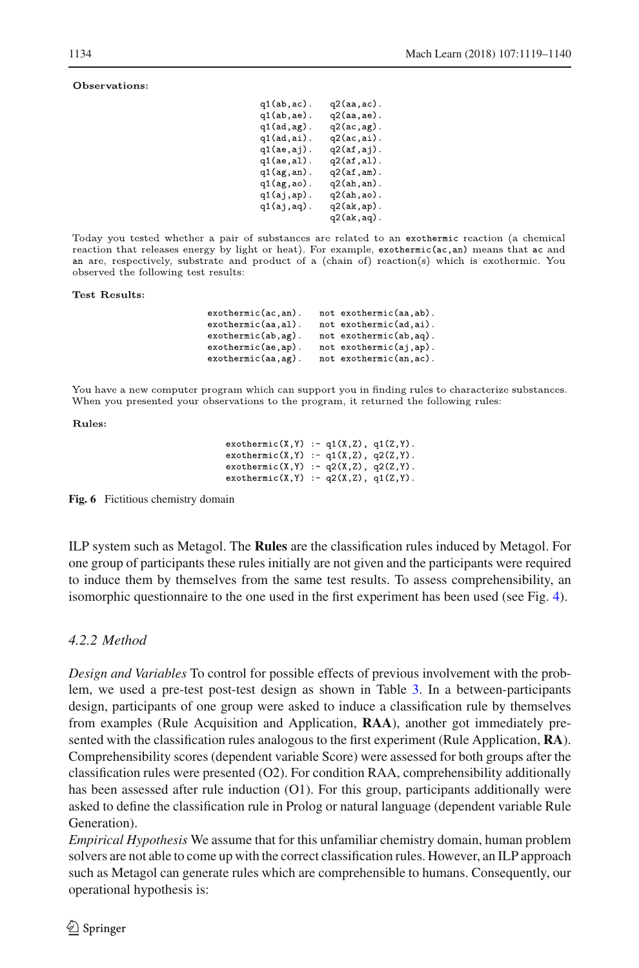#### Observations:

| q1(ab,ac).    | q2(aa,ac).     |
|---------------|----------------|
| q1(ab,ae).    | q2(aa,ae).     |
| $q1(ad,ag)$ . | q2(ac,ag).     |
| q1(ad,ai).    | q2(ac,ai).     |
| q1(ae,aj).    | q2(af,aj).     |
| q1(ae,al).    | q2(af,al).     |
| q1(ag,an).    | $q2(af, am)$ . |
| q1(ag,ao).    | $q2(ah,an)$ .  |
| q1(aj,ap).    | q2(ah,ao).     |
| q1(aj,aq).    | q2(ak,ap).     |
|               | q2(ak,aq).     |

Today you tested whether a pair of substances are related to an exothermic reaction (a chemical reaction that releases energy by light or heat). For example, exothermic(ac, an) means that ac and an are, respectively, substrate and product of a (chain of) reaction(s) which is exothermic. You observed the following test results:

#### Test Results:

| $ext{ext{hermic}(ac, an)}$ . | not exothermic(aa,ab).     |
|------------------------------|----------------------------|
| $ext{ext{n}c(aa, a1)}$ .     | not exothermic(ad.ai).     |
| $ext{ext{hermic(ab,ag)}}$ .  | not exothermic(ab, aq).    |
| $ext{ext{hermic(ae, ap)}}$ . | not exothermic $(ai,ap)$ . |
| $ext{extnermic}(aa, ag)$ .   | not exothermic(an, ac).    |

You have a new computer program which can support you in finding rules to characterize substances. When you presented your observations to the program, it returned the following rules:

Rules:

```
ext{ext{hermic(X,Y)}} := q1(X,Z), q1(Z,Y).exothermic(X,Y) :- q1(X,Z), q2(Z,Y).
exothermic(X, Y) :- q2(X,Z), q2(Z,Y).
ext{ext{hermic}(X,Y)} := q2(X,Z), q1(Z,Y).
```
<span id="page-15-0"></span>Fig. 6 Fictitious chemistry domain

ILP system such as Metagol. The **Rules** are the classification rules induced by Metagol. For one group of participants these rules initially are not given and the participants were required to induce them by themselves from the same test results. To assess comprehensibility, an isomorphic questionnaire to the one used in the first experiment has been used (see Fig. [4\)](#page-10-1).

#### *4.2.2 Method*

*Design and Variables* To control for possible effects of previous involvement with the problem, we used a pre-test post-test design as shown in Table [3.](#page-16-0) In a between-participants design, participants of one group were asked to induce a classification rule by themselves from examples (Rule Acquisition and Application, **RAA**), another got immediately presented with the classification rules analogous to the first experiment (Rule Application, **RA**). Comprehensibility scores (dependent variable Score) were assessed for both groups after the classification rules were presented (O2). For condition RAA, comprehensibility additionally has been assessed after rule induction (O1). For this group, participants additionally were asked to define the classification rule in Prolog or natural language (dependent variable Rule Generation).

*Empirical Hypothesis* We assume that for this unfamiliar chemistry domain, human problem solvers are not able to come up with the correct classification rules. However, an ILP approach such as Metagol can generate rules which are comprehensible to humans. Consequently, our operational hypothesis is: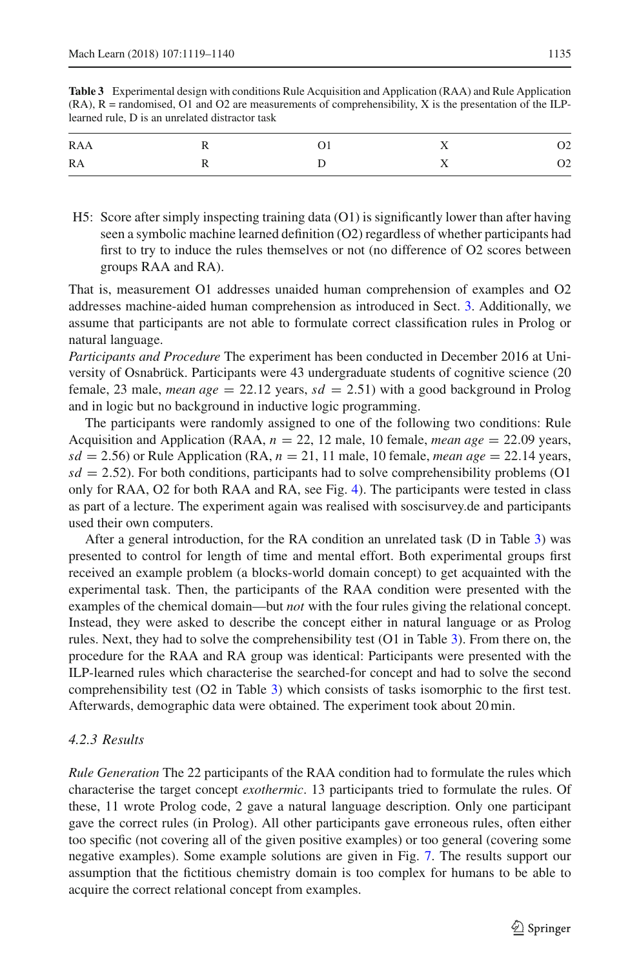<span id="page-16-0"></span>**Table 3** Experimental design with conditions Rule Acquisition and Application (RAA) and Rule Application (RA), R = randomised, O1 and O2 are measurements of comprehensibility, X is the presentation of the ILPlearned rule, D is an unrelated distractor task

| R A<br>*** ** * |  |  |
|-----------------|--|--|
| RA              |  |  |

H5: Score after simply inspecting training data (O1) is significantly lower than after having seen a symbolic machine learned definition (O2) regardless of whether participants had first to try to induce the rules themselves or not (no difference of O2 scores between groups RAA and RA).

That is, measurement O1 addresses unaided human comprehension of examples and O2 addresses machine-aided human comprehension as introduced in Sect. [3.](#page-6-0) Additionally, we assume that participants are not able to formulate correct classification rules in Prolog or natural language.

*Participants and Procedure* The experiment has been conducted in December 2016 at University of Osnabrück. Participants were 43 undergraduate students of cognitive science (20 female, 23 male, *mean age* = 22.12 years,  $sd = 2.51$ ) with a good background in Prolog and in logic but no background in inductive logic programming.

The participants were randomly assigned to one of the following two conditions: Rule Acquisition and Application (RAA,  $n = 22$ , 12 male, 10 female, *mean age* = 22.09 years,  $sd = 2.56$ ) or Rule Application (RA,  $n = 21$ , 11 male, 10 female, *mean age* = 22.14 years,  $sd = 2.52$ ). For both conditions, participants had to solve comprehensibility problems (O1) only for RAA, O2 for both RAA and RA, see Fig. [4\)](#page-10-1). The participants were tested in class as part of a lecture. The experiment again was realised with soscisurvey.de and participants used their own computers.

After a general introduction, for the RA condition an unrelated task (D in Table [3\)](#page-16-0) was presented to control for length of time and mental effort. Both experimental groups first received an example problem (a blocks-world domain concept) to get acquainted with the experimental task. Then, the participants of the RAA condition were presented with the examples of the chemical domain—but *not* with the four rules giving the relational concept. Instead, they were asked to describe the concept either in natural language or as Prolog rules. Next, they had to solve the comprehensibility test (O1 in Table [3\)](#page-16-0). From there on, the procedure for the RAA and RA group was identical: Participants were presented with the ILP-learned rules which characterise the searched-for concept and had to solve the second comprehensibility test (O2 in Table [3\)](#page-16-0) which consists of tasks isomorphic to the first test. Afterwards, demographic data were obtained. The experiment took about 20min.

### *4.2.3 Results*

*Rule Generation* The 22 participants of the RAA condition had to formulate the rules which characterise the target concept *exothermic*. 13 participants tried to formulate the rules. Of these, 11 wrote Prolog code, 2 gave a natural language description. Only one participant gave the correct rules (in Prolog). All other participants gave erroneous rules, often either too specific (not covering all of the given positive examples) or too general (covering some negative examples). Some example solutions are given in Fig. [7.](#page-17-0) The results support our assumption that the fictitious chemistry domain is too complex for humans to be able to acquire the correct relational concept from examples.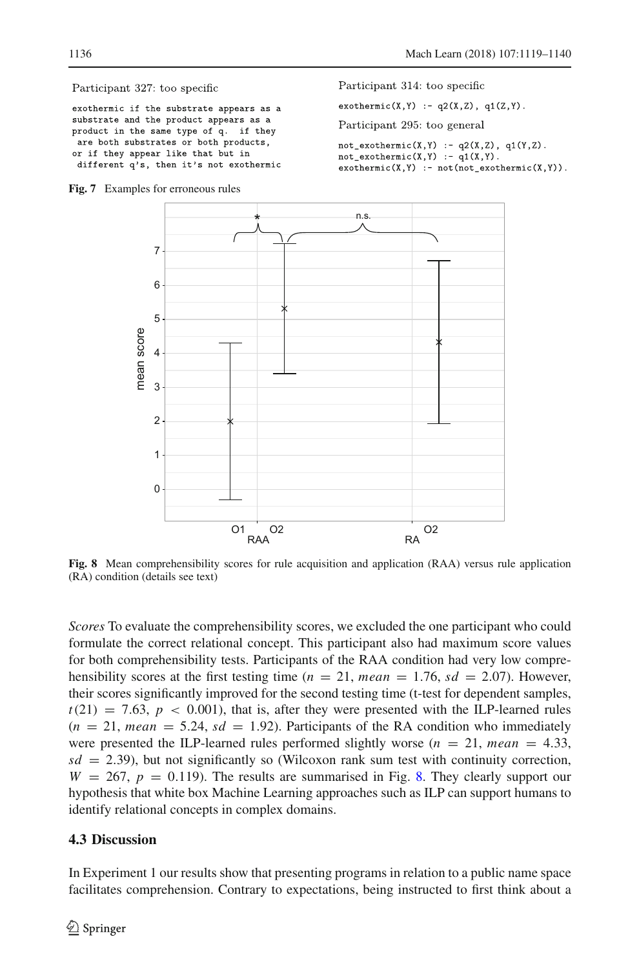Participant 327: too specific

exothermic if the substrate appears as a substrate and the product appears as a product in the same type of q. if they are both substrates or both products, or if they appear like that but in different q's, then it's not exothermic

**Fig. 7** Examples for erroneous rules

Participant 314: too specific

 $ext{ext{hermic(X,Y)}} := q2(X,Z), q1(Z,Y)$ .

Participant 295: too general

not exothermic $(X,Y)$  :-  $q2(X,Z)$ ,  $q1(Y,Z)$ .  $not\_exothermic(X,Y) :- q1(X,Y).$  $ext{ext{hermic}(X, Y)} := not (not\_ext{bertmic}(X, Y))$ .

<span id="page-17-0"></span>

<span id="page-17-1"></span>**Fig. 8** Mean comprehensibility scores for rule acquisition and application (RAA) versus rule application (RA) condition (details see text)

*Scores* To evaluate the comprehensibility scores, we excluded the one participant who could formulate the correct relational concept. This participant also had maximum score values for both comprehensibility tests. Participants of the RAA condition had very low comprehensibility scores at the first testing time  $(n = 21, mean = 1.76, sd = 2.07)$ . However, their scores significantly improved for the second testing time (t-test for dependent samples,  $t(21) = 7.63$ ,  $p < 0.001$ ), that is, after they were presented with the ILP-learned rules  $(n = 21, \text{mean} = 5.24, \text{sd} = 1.92)$ . Participants of the RA condition who immediately were presented the ILP-learned rules performed slightly worse  $(n = 21, mean = 4.33,$  $sd = 2.39$ ), but not significantly so (Wilcoxon rank sum test with continuity correction,  $W = 267$ ,  $p = 0.119$ ). The results are summarised in Fig. [8.](#page-17-1) They clearly support our hypothesis that white box Machine Learning approaches such as ILP can support humans to identify relational concepts in complex domains.

#### **4.3 Discussion**

In Experiment 1 our results show that presenting programs in relation to a public name space facilitates comprehension. Contrary to expectations, being instructed to first think about a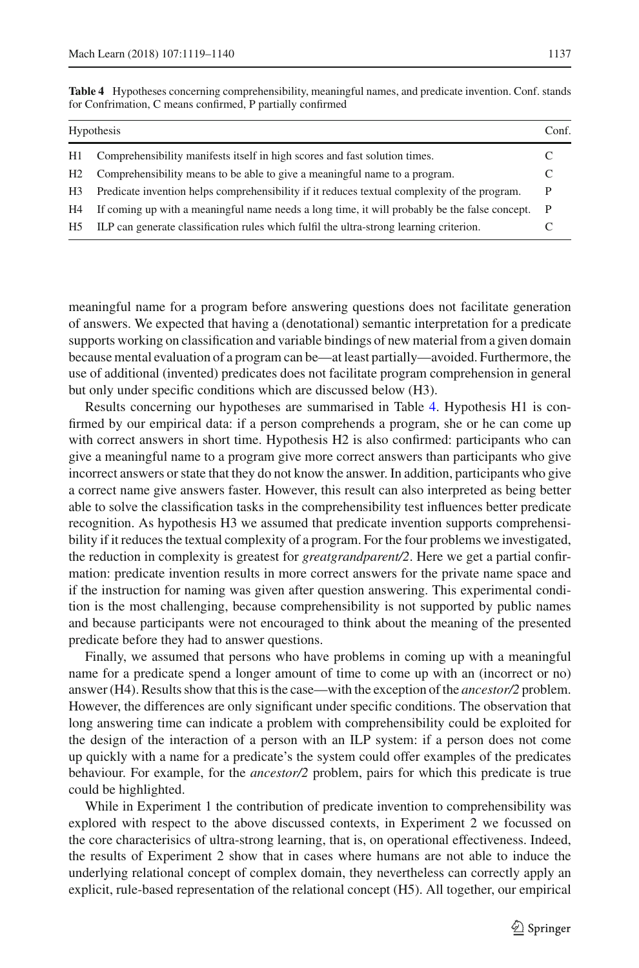|    | <b>Hypothesis</b>                                                                             |   |
|----|-----------------------------------------------------------------------------------------------|---|
| H1 | Comprehensibility manifests itself in high scores and fast solution times.                    |   |
| H2 | Comprehensibility means to be able to give a meaningful name to a program.                    |   |
| H3 | Predicate invention helps comprehensibility if it reduces textual complexity of the program.  | P |
| H4 | If coming up with a meaningful name needs a long time, it will probably be the false concept. | P |
| H5 | ILP can generate classification rules which fulfil the ultra-strong learning criterion.       |   |

<span id="page-18-0"></span>**Table 4** Hypotheses concerning comprehensibility, meaningful names, and predicate invention. Conf. stands for Confrimation, C means confirmed, P partially confirmed

meaningful name for a program before answering questions does not facilitate generation of answers. We expected that having a (denotational) semantic interpretation for a predicate supports working on classification and variable bindings of new material from a given domain because mental evaluation of a program can be—at least partially—avoided. Furthermore, the use of additional (invented) predicates does not facilitate program comprehension in general but only under specific conditions which are discussed below (H3).

Results concerning our hypotheses are summarised in Table [4.](#page-18-0) Hypothesis H1 is confirmed by our empirical data: if a person comprehends a program, she or he can come up with correct answers in short time. Hypothesis H2 is also confirmed: participants who can give a meaningful name to a program give more correct answers than participants who give incorrect answers or state that they do not know the answer. In addition, participants who give a correct name give answers faster. However, this result can also interpreted as being better able to solve the classification tasks in the comprehensibility test influences better predicate recognition. As hypothesis H3 we assumed that predicate invention supports comprehensibility if it reduces the textual complexity of a program. For the four problems we investigated, the reduction in complexity is greatest for *greatgrandparent/2*. Here we get a partial confirmation: predicate invention results in more correct answers for the private name space and if the instruction for naming was given after question answering. This experimental condition is the most challenging, because comprehensibility is not supported by public names and because participants were not encouraged to think about the meaning of the presented predicate before they had to answer questions.

Finally, we assumed that persons who have problems in coming up with a meaningful name for a predicate spend a longer amount of time to come up with an (incorrect or no) answer (H4). Results show that this is the case—with the exception of the *ancestor/2* problem. However, the differences are only significant under specific conditions. The observation that long answering time can indicate a problem with comprehensibility could be exploited for the design of the interaction of a person with an ILP system: if a person does not come up quickly with a name for a predicate's the system could offer examples of the predicates behaviour. For example, for the *ancestor/2* problem, pairs for which this predicate is true could be highlighted.

While in Experiment 1 the contribution of predicate invention to comprehensibility was explored with respect to the above discussed contexts, in Experiment 2 we focussed on the core characterisics of ultra-strong learning, that is, on operational effectiveness. Indeed, the results of Experiment 2 show that in cases where humans are not able to induce the underlying relational concept of complex domain, they nevertheless can correctly apply an explicit, rule-based representation of the relational concept (H5). All together, our empirical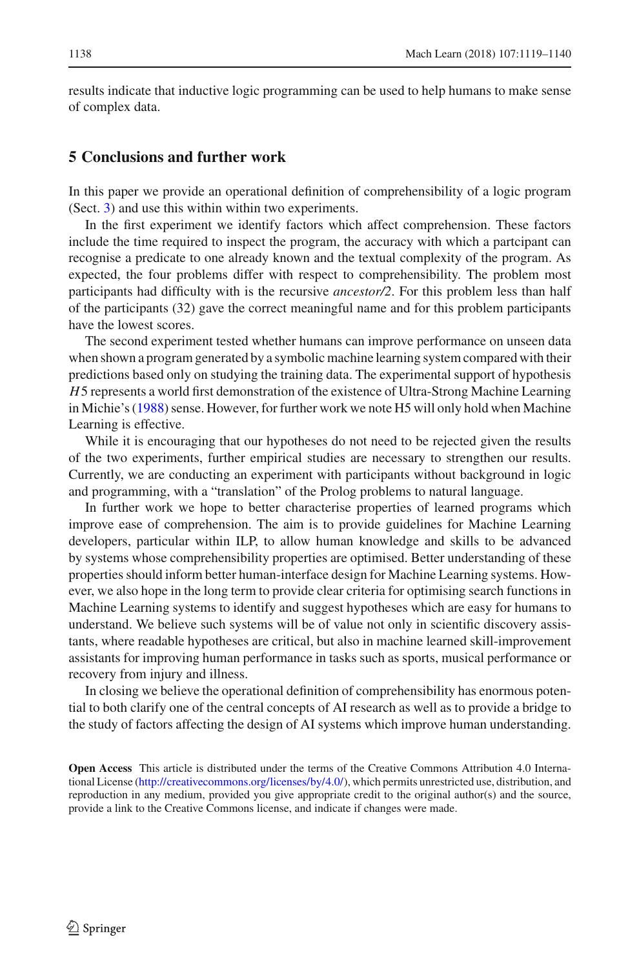results indicate that inductive logic programming can be used to help humans to make sense of complex data.

# <span id="page-19-0"></span>**5 Conclusions and further work**

In this paper we provide an operational definition of comprehensibility of a logic program (Sect. [3\)](#page-6-0) and use this within within two experiments.

In the first experiment we identify factors which affect comprehension. These factors include the time required to inspect the program, the accuracy with which a partcipant can recognise a predicate to one already known and the textual complexity of the program. As expected, the four problems differ with respect to comprehensibility. The problem most participants had difficulty with is the recursive *ancestor/2*. For this problem less than half of the participants (32) gave the correct meaningful name and for this problem participants have the lowest scores.

The second experiment tested whether humans can improve performance on unseen data when shown a program generated by a symbolic machine learning system compared with their predictions based only on studying the training data. The experimental support of hypothesis *H*5 represents a world first demonstration of the existence of Ultra-Strong Machine Learning in Michie's [\(1988\)](#page-21-1) sense. However, for further work we note H5 will only hold when Machine Learning is effective.

While it is encouraging that our hypotheses do not need to be rejected given the results of the two experiments, further empirical studies are necessary to strengthen our results. Currently, we are conducting an experiment with participants without background in logic and programming, with a "translation" of the Prolog problems to natural language.

In further work we hope to better characterise properties of learned programs which improve ease of comprehension. The aim is to provide guidelines for Machine Learning developers, particular within ILP, to allow human knowledge and skills to be advanced by systems whose comprehensibility properties are optimised. Better understanding of these properties should inform better human-interface design for Machine Learning systems. However, we also hope in the long term to provide clear criteria for optimising search functions in Machine Learning systems to identify and suggest hypotheses which are easy for humans to understand. We believe such systems will be of value not only in scientific discovery assistants, where readable hypotheses are critical, but also in machine learned skill-improvement assistants for improving human performance in tasks such as sports, musical performance or recovery from injury and illness.

In closing we believe the operational definition of comprehensibility has enormous potential to both clarify one of the central concepts of AI research as well as to provide a bridge to the study of factors affecting the design of AI systems which improve human understanding.

**Open Access** This article is distributed under the terms of the Creative Commons Attribution 4.0 International License [\(http://creativecommons.org/licenses/by/4.0/\)](http://creativecommons.org/licenses/by/4.0/), which permits unrestricted use, distribution, and reproduction in any medium, provided you give appropriate credit to the original author(s) and the source, provide a link to the Creative Commons license, and indicate if changes were made.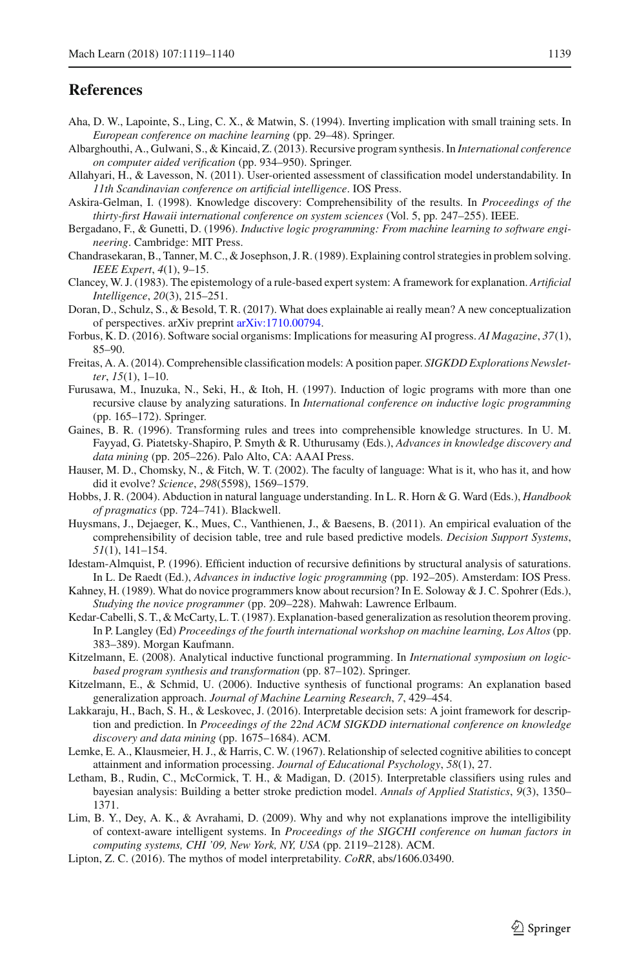#### **References**

- <span id="page-20-18"></span>Aha, D. W., Lapointe, S., Ling, C. X., & Matwin, S. (1994). Inverting implication with small training sets. In *European conference on machine learning* (pp. 29–48). Springer.
- <span id="page-20-23"></span>Albarghouthi, A., Gulwani, S., & Kincaid, Z. (2013). Recursive program synthesis. In *International conference on computer aided verification* (pp. 934–950). Springer.
- <span id="page-20-11"></span>Allahyari, H., & Lavesson, N. (2011). User-oriented assessment of classification model understandability. In *11th Scandinavian conference on artificial intelligence*. IOS Press.
- <span id="page-20-3"></span>Askira-Gelman, I. (1998). Knowledge discovery: Comprehensibility of the results. In *Proceedings of the thirty-first Hawaii international conference on system sciences* (Vol. 5, pp. 247–255). IEEE.
- <span id="page-20-21"></span>Bergadano, F., & Gunetti, D. (1996). *Inductive logic programming: From machine learning to software engineering*. Cambridge: MIT Press.
- <span id="page-20-1"></span>Chandrasekaran, B., Tanner, M. C., & Josephson, J. R. (1989). Explaining control strategies in problem solving. *IEEE Expert*, *4*(1), 9–15.
- <span id="page-20-0"></span>Clancey, W. J. (1983). The epistemology of a rule-based expert system: A framework for explanation. *Artificial Intelligence*, *20*(3), 215–251.
- <span id="page-20-10"></span>Doran, D., Schulz, S., & Besold, T. R. (2017). What does explainable ai really mean? A new conceptualization of perspectives. arXiv preprint [arXiv:1710.00794.](http://arxiv.org/abs/1710.00794)
- <span id="page-20-4"></span>Forbus, K. D. (2016). Software social organisms: Implications for measuring AI progress. *AI Magazine*, *37*(1), 85–90.
- <span id="page-20-5"></span>Freitas, A. A. (2014). Comprehensible classification models: A position paper. *SIGKDD Explorations Newsletter*, *15*(1), 1–10.
- <span id="page-20-20"></span>Furusawa, M., Inuzuka, N., Seki, H., & Itoh, H. (1997). Induction of logic programs with more than one recursive clause by analyzing saturations. In *International conference on inductive logic programming* (pp. 165–172). Springer.
- <span id="page-20-2"></span>Gaines, B. R. (1996). Transforming rules and trees into comprehensible knowledge structures. In U. M. Fayyad, G. Piatetsky-Shapiro, P. Smyth & R. Uthurusamy (Eds.), *Advances in knowledge discovery and data mining* (pp. 205–226). Palo Alto, CA: AAAI Press.
- <span id="page-20-17"></span>Hauser, M. D., Chomsky, N., & Fitch, W. T. (2002). The faculty of language: What is it, who has it, and how did it evolve? *Science*, *298*(5598), 1569–1579.
- <span id="page-20-16"></span>Hobbs, J. R. (2004). Abduction in natural language understanding. In L. R. Horn & G. Ward (Eds.), *Handbook of pragmatics* (pp. 724–741). Blackwell.
- <span id="page-20-12"></span>Huysmans, J., Dejaeger, K., Mues, C., Vanthienen, J., & Baesens, B. (2011). An empirical evaluation of the comprehensibility of decision table, tree and rule based predictive models. *Decision Support Systems*, *51*(1), 141–154.
- <span id="page-20-19"></span>Idestam-Almquist, P. (1996). Efficient induction of recursive definitions by structural analysis of saturations. In L. De Raedt (Ed.), *Advances in inductive logic programming* (pp. 192–205). Amsterdam: IOS Press.
- <span id="page-20-24"></span>Kahney, H. (1989). What do novice programmers know about recursion? In E. Soloway & J. C. Spohrer (Eds.), *Studying the novice programmer* (pp. 209–228). Mahwah: Lawrence Erlbaum.
- <span id="page-20-8"></span>Kedar-Cabelli, S. T., & McCarty, L. T. (1987). Explanation-based generalization as resolution theorem proving. In P. Langley (Ed) *Proceedings of the fourth international workshop on machine learning, Los Altos* (pp. 383–389). Morgan Kaufmann.
- <span id="page-20-22"></span>Kitzelmann, E. (2008). Analytical inductive functional programming. In *International symposium on logicbased program synthesis and transformation* (pp. 87–102). Springer.
- <span id="page-20-9"></span>Kitzelmann, E., & Schmid, U. (2006). Inductive synthesis of functional programs: An explanation based generalization approach. *Journal of Machine Learning Research*, *7*, 429–454.
- <span id="page-20-13"></span>Lakkaraju, H., Bach, S. H., & Leskovec, J. (2016). Interpretable decision sets: A joint framework for description and prediction. In *Proceedings of the 22nd ACM SIGKDD international conference on knowledge discovery and data mining* (pp. 1675–1684). ACM.
- <span id="page-20-15"></span>Lemke, E. A., Klausmeier, H. J., & Harris, C. W. (1967). Relationship of selected cognitive abilities to concept attainment and information processing. *Journal of Educational Psychology*, *58*(1), 27.
- <span id="page-20-6"></span>Letham, B., Rudin, C., McCormick, T. H., & Madigan, D. (2015). Interpretable classifiers using rules and bayesian analysis: Building a better stroke prediction model. *Annals of Applied Statistics*, *9*(3), 1350– 1371.
- <span id="page-20-14"></span>Lim, B. Y., Dey, A. K., & Avrahami, D. (2009). Why and why not explanations improve the intelligibility of context-aware intelligent systems. In *Proceedings of the SIGCHI conference on human factors in computing systems, CHI '09, New York, NY, USA* (pp. 2119–2128). ACM.
- <span id="page-20-7"></span>Lipton, Z. C. (2016). The mythos of model interpretability. *CoRR*, abs/1606.03490.